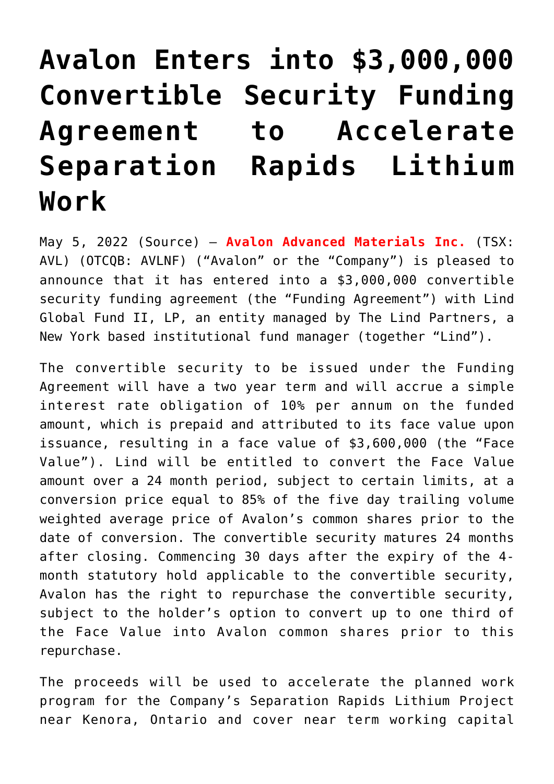## **[Avalon Enters into \\$3,000,000](https://investorintel.com/markets/technology-metals/technology-metals-news/avalon-enters-into-3000000-convertible-security-funding-agreement-to-accelerate-separation-rapids-lithium-work-2/) [Convertible Security Funding](https://investorintel.com/markets/technology-metals/technology-metals-news/avalon-enters-into-3000000-convertible-security-funding-agreement-to-accelerate-separation-rapids-lithium-work-2/) [Agreement to Accelerate](https://investorintel.com/markets/technology-metals/technology-metals-news/avalon-enters-into-3000000-convertible-security-funding-agreement-to-accelerate-separation-rapids-lithium-work-2/) [Separation Rapids Lithium](https://investorintel.com/markets/technology-metals/technology-metals-news/avalon-enters-into-3000000-convertible-security-funding-agreement-to-accelerate-separation-rapids-lithium-work-2/) [Work](https://investorintel.com/markets/technology-metals/technology-metals-news/avalon-enters-into-3000000-convertible-security-funding-agreement-to-accelerate-separation-rapids-lithium-work-2/)**

May 5, 2022 ([Source](https://www.newsfilecorp.com/release/122891/Avalon-Enters-into-3000000-Convertible-Security-Funding-Agreement-to-Accelerate-Separation-Rapids-Lithium-Work)) – **[Avalon Advanced Materials Inc.](https://www.newsfilecorp.com/redirect/D34vjfWp4L)** (TSX: AVL) (OTCQB: AVLNF) ("Avalon" or the "Company") is pleased to announce that it has entered into a \$3,000,000 convertible security funding agreement (the "Funding Agreement") with Lind Global Fund II, LP, an entity managed by The Lind Partners, a New York based institutional fund manager (together "Lind").

The convertible security to be issued under the Funding Agreement will have a two year term and will accrue a simple interest rate obligation of 10% per annum on the funded amount, which is prepaid and attributed to its face value upon issuance, resulting in a face value of \$3,600,000 (the "Face Value"). Lind will be entitled to convert the Face Value amount over a 24 month period, subject to certain limits, at a conversion price equal to 85% of the five day trailing volume weighted average price of Avalon's common shares prior to the date of conversion. The convertible security matures 24 months after closing. Commencing 30 days after the expiry of the 4 month statutory hold applicable to the convertible security, Avalon has the right to repurchase the convertible security, subject to the holder's option to convert up to one third of the Face Value into Avalon common shares prior to this repurchase.

The proceeds will be used to accelerate the planned work program for the Company's Separation Rapids Lithium Project near Kenora, Ontario and cover near term working capital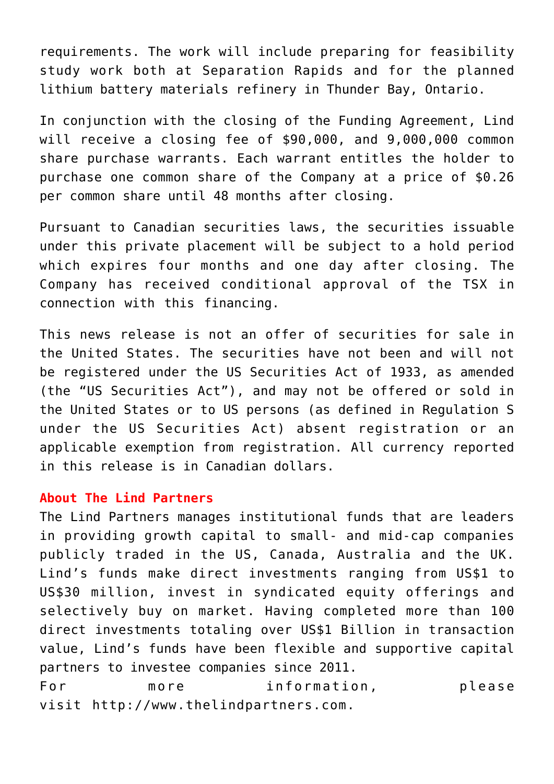requirements. The work will include preparing for feasibility study work both at Separation Rapids and for the planned lithium battery materials refinery in Thunder Bay, Ontario.

In conjunction with the closing of the Funding Agreement, Lind will receive a closing fee of \$90,000, and 9,000,000 common share purchase warrants. Each warrant entitles the holder to purchase one common share of the Company at a price of \$0.26 per common share until 48 months after closing.

Pursuant to Canadian securities laws, the securities issuable under this private placement will be subject to a hold period which expires four months and one day after closing. The Company has received conditional approval of the TSX in connection with this financing.

This news release is not an offer of securities for sale in the United States. The securities have not been and will not be registered under the US Securities Act of 1933, as amended (the "US Securities Act"), and may not be offered or sold in the United States or to US persons (as defined in Regulation S under the US Securities Act) absent registration or an applicable exemption from registration. All currency reported in this release is in Canadian dollars.

## **About The Lind Partners**

The Lind Partners manages institutional funds that are leaders in providing growth capital to small- and mid-cap companies publicly traded in the US, Canada, Australia and the UK. Lind's funds make direct investments ranging from US\$1 to US\$30 million, invest in syndicated equity offerings and selectively buy on market. Having completed more than 100 direct investments totaling over US\$1 Billion in transaction value, Lind's funds have been flexible and supportive capital partners to investee companies since 2011.

For more information, please visit [http://www.thelindpartners.com](https://www.newsfilecorp.com/redirect/rYwgkcJYNR).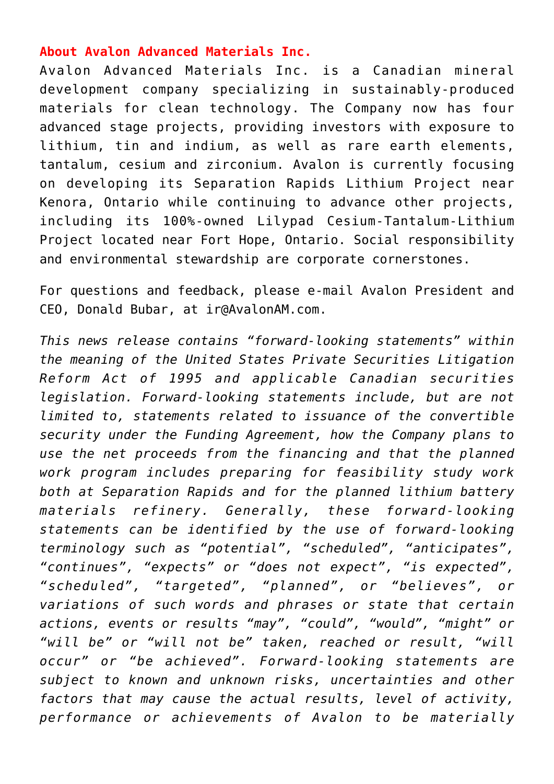## **About Avalon Advanced Materials Inc.**

Avalon Advanced Materials Inc. is a Canadian mineral development company specializing in sustainably-produced materials for clean technology. The Company now has four advanced stage projects, providing investors with exposure to lithium, tin and indium, as well as rare earth elements, tantalum, cesium and zirconium. Avalon is currently focusing on developing its Separation Rapids Lithium Project near Kenora, Ontario while continuing to advance other projects, including its 100%-owned Lilypad Cesium-Tantalum-Lithium Project located near Fort Hope, Ontario. Social responsibility and environmental stewardship are corporate cornerstones.

For questions and feedback, please e-mail Avalon President and CEO, Donald Bubar, at [ir@AvalonAM.com](mailto:ir@AvalonAM.com).

*This news release contains "forward-looking statements" within the meaning of the United States Private Securities Litigation Reform Act of 1995 and applicable Canadian securities legislation. Forward-looking statements include, but are not limited to, statements related to issuance of the convertible security under the Funding Agreement, how the Company plans to use the net proceeds from the financing and that the planned work program includes preparing for feasibility study work both at Separation Rapids and for the planned lithium battery materials refinery. Generally, these forward-looking statements can be identified by the use of forward-looking terminology such as "potential", "scheduled", "anticipates", "continues", "expects" or "does not expect", "is expected", "scheduled", "targeted", "planned", or "believes", or variations of such words and phrases or state that certain actions, events or results "may", "could", "would", "might" or "will be" or "will not be" taken, reached or result, "will occur" or "be achieved". Forward-looking statements are subject to known and unknown risks, uncertainties and other factors that may cause the actual results, level of activity, performance or achievements of Avalon to be materially*